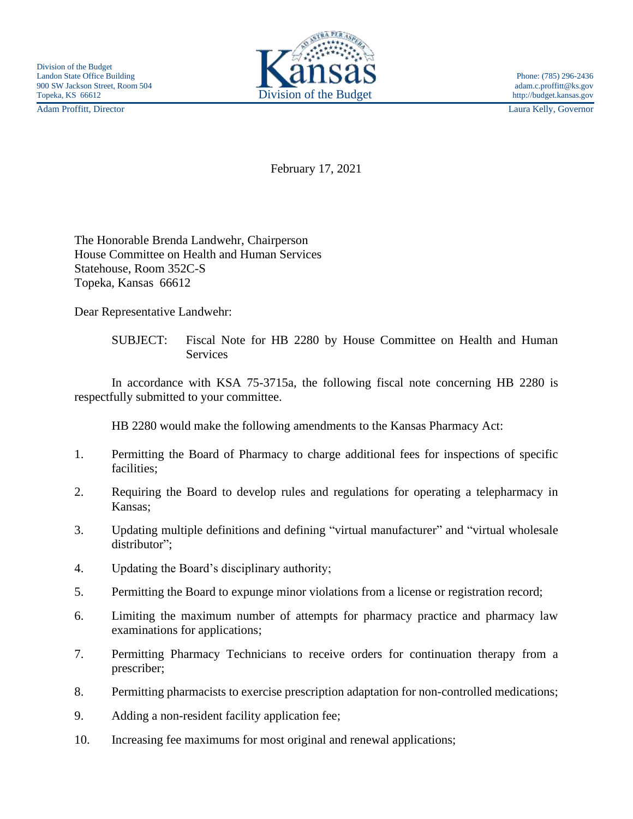Adam Proffitt, Director Laura Kelly, Governor



February 17, 2021

The Honorable Brenda Landwehr, Chairperson House Committee on Health and Human Services Statehouse, Room 352C-S Topeka, Kansas 66612

Dear Representative Landwehr:

SUBJECT: Fiscal Note for HB 2280 by House Committee on Health and Human **Services** 

In accordance with KSA 75-3715a, the following fiscal note concerning HB 2280 is respectfully submitted to your committee.

HB 2280 would make the following amendments to the Kansas Pharmacy Act:

- 1. Permitting the Board of Pharmacy to charge additional fees for inspections of specific facilities;
- 2. Requiring the Board to develop rules and regulations for operating a telepharmacy in Kansas;
- 3. Updating multiple definitions and defining "virtual manufacturer" and "virtual wholesale distributor":
- 4. Updating the Board's disciplinary authority;
- 5. Permitting the Board to expunge minor violations from a license or registration record;
- 6. Limiting the maximum number of attempts for pharmacy practice and pharmacy law examinations for applications;
- 7. Permitting Pharmacy Technicians to receive orders for continuation therapy from a prescriber;
- 8. Permitting pharmacists to exercise prescription adaptation for non-controlled medications;
- 9. Adding a non-resident facility application fee;
- 10. Increasing fee maximums for most original and renewal applications;